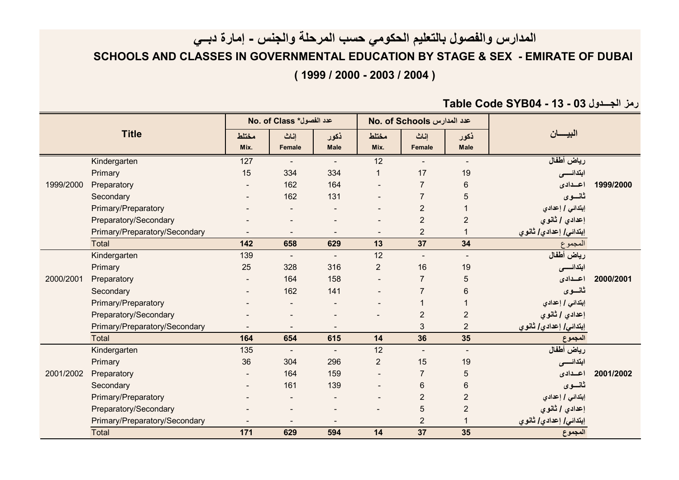## **المدارس والفصول بالتعليم الحكومي حسب المرحلة والجنس - إمارة دبــي SCHOOLS AND CLASSES IN GOVERNMENTAL EDUCATION BY STAGE & SEX - EMIRATE OF DUBAI ( 1999 / 2000 - 2003 / 2004 )**

**Table Code SYB04 - 13 - 03 الجـــدول رمز**

| <b>Title</b> |                               | No. of Class *كدد الفصول |                              |                          |                          | No. of Schools عدد المدارس |                     |                        |           |
|--------------|-------------------------------|--------------------------|------------------------------|--------------------------|--------------------------|----------------------------|---------------------|------------------------|-----------|
|              |                               | مختلط<br>Mix.            | إناث<br>Female               | ذكور<br><b>Male</b>      | مختلط<br>Mix.            | إناث<br>Female             | ذكور<br><b>Male</b> | البيسان                |           |
|              | Kindergarten                  | 127                      |                              |                          | $\overline{12}$          |                            |                     | رياض أطفال             |           |
|              | Primary                       | 15                       | 334                          | 334                      | 1                        | 17                         | 19                  | ابتدائسس               |           |
| 1999/2000    | Preparatory                   |                          | 162                          | 164                      |                          | $\overline{7}$             | 6                   | اعسدادى                | 1999/2000 |
|              | Secondary                     |                          | 162                          | 131                      | $\sim$                   | $\overline{7}$             | 5                   | ثانسوى                 |           |
|              | Primary/Preparatory           |                          |                              |                          | $\overline{\phantom{a}}$ | $\overline{2}$             |                     | إبتدائي / إعدادي       |           |
|              | Preparatory/Secondary         |                          |                              |                          |                          | $\overline{2}$             | $\overline{2}$      | إعدادي / ثانوي         |           |
|              | Primary/Preparatory/Secondary |                          |                              |                          | $\overline{\phantom{a}}$ | $\overline{2}$             |                     | إبتدائي/ إعدادي/ ثانوي |           |
|              | <b>Total</b>                  | 142                      | 658                          | 629                      | 13                       | 37                         | 34                  | المجموع                |           |
| 2000/2001    | Kindergarten                  | 139                      | $\sim$                       | $\blacksquare$           | 12                       |                            | $\blacksquare$      | رياض أطفال             |           |
|              | Primary                       | 25                       | 328                          | 316                      | $\overline{2}$           | 16                         | 19                  | ابتدائسس               |           |
|              | Preparatory                   |                          | 164                          | 158                      |                          | $\overline{7}$             | 5                   | اعسدادى                | 2000/2001 |
|              | Secondary                     |                          | 162                          | 141                      | $\overline{\phantom{a}}$ | $\overline{7}$             | 6                   | ثانسوى                 |           |
|              | Primary/Preparatory           |                          |                              |                          |                          |                            |                     | إبتدائي / إعدادي       |           |
|              | Preparatory/Secondary         |                          |                              |                          |                          | $\overline{2}$             | $\overline{2}$      | إعدادي / ثانوي         |           |
|              | Primary/Preparatory/Secondary |                          |                              |                          |                          | 3                          | $\overline{2}$      | إبتدائي] إعدادي] ثانوي |           |
|              | Total                         | 164                      | 654                          | 615                      | 14                       | 36                         | 35                  | المجموع                |           |
| 2001/2002    | Kindergarten                  | 135                      | $\overline{\phantom{a}}$     | $\overline{\phantom{a}}$ | 12                       |                            | $\blacksquare$      | رياض أطفال             |           |
|              | Primary                       | 36                       | 304                          | 296                      | $\overline{2}$           | 15                         | 19                  | ابتدائسس               |           |
|              | Preparatory                   |                          | 164                          | 159                      | $\overline{\phantom{a}}$ | $\overline{7}$             | 5                   | اعسدادى                | 2001/2002 |
|              | Secondary                     |                          | 161                          | 139                      |                          | 6                          | 6                   | ثانسوى                 |           |
|              | Primary/Preparatory           |                          |                              |                          | $\overline{\phantom{a}}$ | $\overline{2}$             | $\overline{2}$      | إبتدائي / إعدادي       |           |
|              | Preparatory/Secondary         |                          | $\qquad \qquad \blacksquare$ | $\overline{\phantom{a}}$ | $\overline{\phantom{a}}$ | 5                          | $\overline{2}$      | إعدادي / ثانوي         |           |
|              | Primary/Preparatory/Secondary |                          |                              |                          |                          | $\overline{2}$             |                     | إبتدائي/ إعدادي/ ثانوي |           |
|              | <b>Total</b>                  | 171                      | 629                          | 594                      | 14                       | 37                         | 35                  | المجموع                |           |